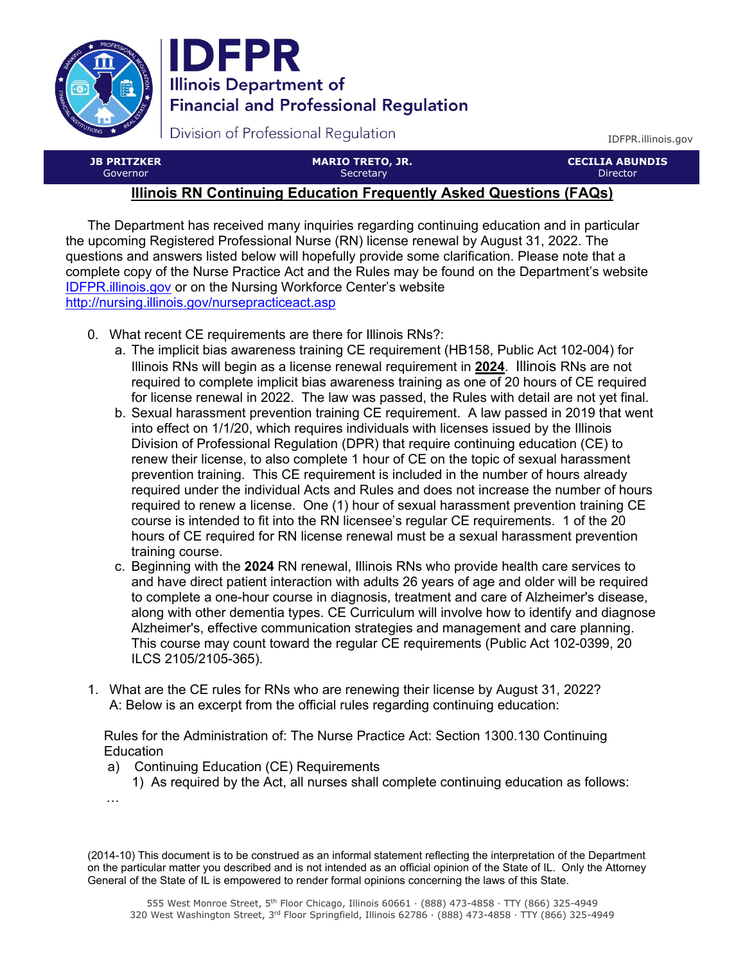



Division of Professional Regulation

IDFPR.illinois.gov

| <b>JB PRITZKER</b>                                                                                                                                                                                                                                                                                       | <b>MARIO TRETO, JR.</b> | <b>CECILIA ABUNDIS</b> |
|----------------------------------------------------------------------------------------------------------------------------------------------------------------------------------------------------------------------------------------------------------------------------------------------------------|-------------------------|------------------------|
| Governor                                                                                                                                                                                                                                                                                                 | Secretary               | Director               |
| $\mathbf{m}$ . Since $\mathbf{a}$ , and $\mathbf{a}$ , and $\mathbf{a}$ , $\mathbf{a}$ , $\mathbf{a}$ , $\mathbf{a}$ , $\mathbf{a}$ , $\mathbf{a}$ , $\mathbf{a}$ , $\mathbf{a}$ , $\mathbf{a}$ , $\mathbf{a}$ , $\mathbf{a}$ , $\mathbf{a}$ , $\mathbf{a}$ , $\mathbf{a}$ , $\mathbf{a}$ , $\mathbf{a}$ |                         |                        |

## **Illinois RN Continuing Education Frequently Asked Questions (FAQs)**

The Department has received many inquiries regarding continuing education and in particular the upcoming Registered Professional Nurse (RN) license renewal by August 31, 2022. The questions and answers listed below will hopefully provide some clarification. Please note that a complete copy of the Nurse Practice Act and the Rules may be found on the Department's website **IDFPR.illinois.gov** or on the Nursing Workforce Center's website http://nursing.illinois.gov/nursepracticeact.asp

- 0. What recent CE requirements are there for Illinois RNs?:
	- a. The implicit bias awareness training CE requirement (HB158, Public Act 102-004) for Illinois RNs will begin as a license renewal requirement in **2024**. Illinois RNs are not required to complete implicit bias awareness training as one of 20 hours of CE required for license renewal in 2022. The law was passed, the Rules with detail are not yet final.
	- b. Sexual harassment prevention training CE requirement. A law passed in 2019 that went into effect on 1/1/20, which requires individuals with licenses issued by the Illinois Division of Professional Regulation (DPR) that require continuing education (CE) to renew their license, to also complete 1 hour of CE on the topic of sexual harassment prevention training. This CE requirement is included in the number of hours already required under the individual Acts and Rules and does not increase the number of hours required to renew a license. One (1) hour of sexual harassment prevention training CE course is intended to fit into the RN licensee's regular CE requirements. 1 of the 20 hours of CE required for RN license renewal must be a sexual harassment prevention training course.
	- c. Beginning with the **2024** RN renewal, Illinois RNs who provide health care services to and have direct patient interaction with adults 26 years of age and older will be required to complete a one-hour course in diagnosis, treatment and care of Alzheimer's disease, along with other dementia types. CE Curriculum will involve how to identify and diagnose Alzheimer's, effective communication strategies and management and care planning. This course may count toward the regular CE requirements (Public Act 102-0399, 20 ILCS 2105/2105-365).
- 1. What are the CE rules for RNs who are renewing their license by August 31, 2022? A: Below is an excerpt from the official rules regarding continuing education:

Rules for the Administration of: The Nurse Practice Act: Section 1300.130 Continuing **Education** 

- a) Continuing Education (CE) Requirements
	- 1) As required by the Act, all nurses shall complete continuing education as follows:

…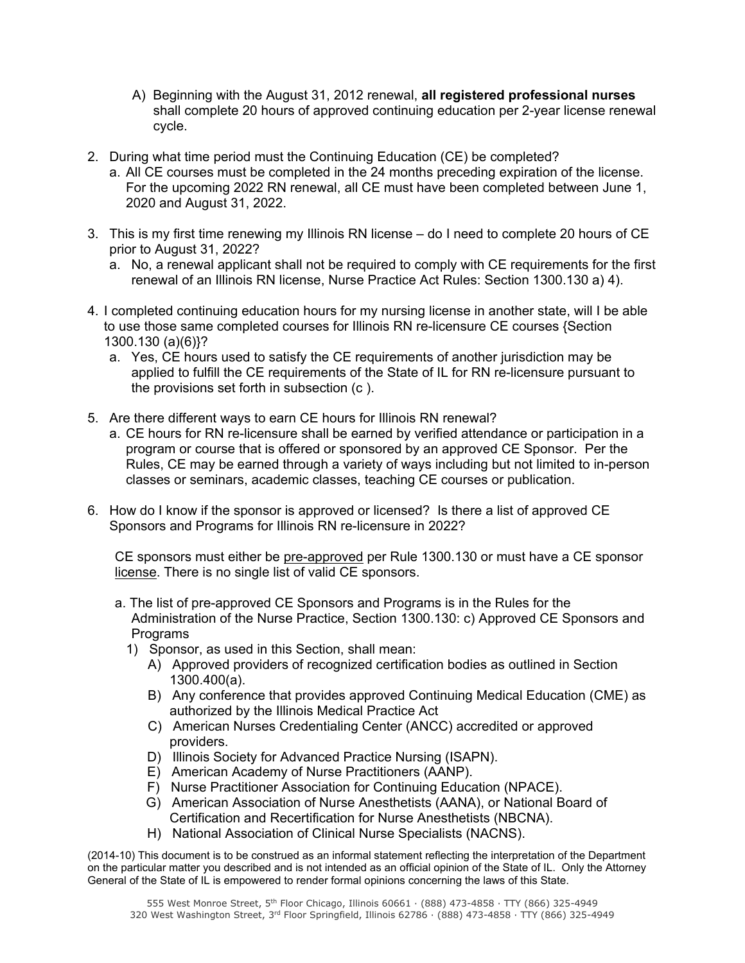- A) Beginning with the August 31, 2012 renewal, **all registered professional nurses**  shall complete 20 hours of approved continuing education per 2-year license renewal cycle.
- 2. During what time period must the Continuing Education (CE) be completed?
	- a. All CE courses must be completed in the 24 months preceding expiration of the license. For the upcoming 2022 RN renewal, all CE must have been completed between June 1, 2020 and August 31, 2022.
- 3. This is my first time renewing my Illinois RN license do I need to complete 20 hours of CE prior to August 31, 2022?
	- a. No, a renewal applicant shall not be required to comply with CE requirements for the first renewal of an Illinois RN license, Nurse Practice Act Rules: Section 1300.130 a) 4).
- 4. I completed continuing education hours for my nursing license in another state, will I be able to use those same completed courses for Illinois RN re-licensure CE courses {Section 1300.130 (a)(6)}?
	- a. Yes, CE hours used to satisfy the CE requirements of another jurisdiction may be applied to fulfill the CE requirements of the State of IL for RN re-licensure pursuant to the provisions set forth in subsection (c ).
- 5. Are there different ways to earn CE hours for Illinois RN renewal?
	- a. CE hours for RN re-licensure shall be earned by verified attendance or participation in a program or course that is offered or sponsored by an approved CE Sponsor. Per the Rules, CE may be earned through a variety of ways including but not limited to in-person classes or seminars, academic classes, teaching CE courses or publication.
- 6. How do I know if the sponsor is approved or licensed? Is there a list of approved CE Sponsors and Programs for Illinois RN re-licensure in 2022?

CE sponsors must either be pre-approved per Rule 1300.130 or must have a CE sponsor license. There is no single list of valid CE sponsors.

- a. The list of pre-approved CE Sponsors and Programs is in the Rules for the Administration of the Nurse Practice, Section 1300.130: c) Approved CE Sponsors and Programs
	- 1) Sponsor, as used in this Section, shall mean:
		- A) Approved providers of recognized certification bodies as outlined in Section 1300.400(a).
		- B) Any conference that provides approved Continuing Medical Education (CME) as authorized by the Illinois Medical Practice Act
		- C) American Nurses Credentialing Center (ANCC) accredited or approved providers.
		- D) Illinois Society for Advanced Practice Nursing (ISAPN).
		- E) American Academy of Nurse Practitioners (AANP).
		- F) Nurse Practitioner Association for Continuing Education (NPACE).
		- G) American Association of Nurse Anesthetists (AANA), or National Board of Certification and Recertification for Nurse Anesthetists (NBCNA).
		- H) National Association of Clinical Nurse Specialists (NACNS).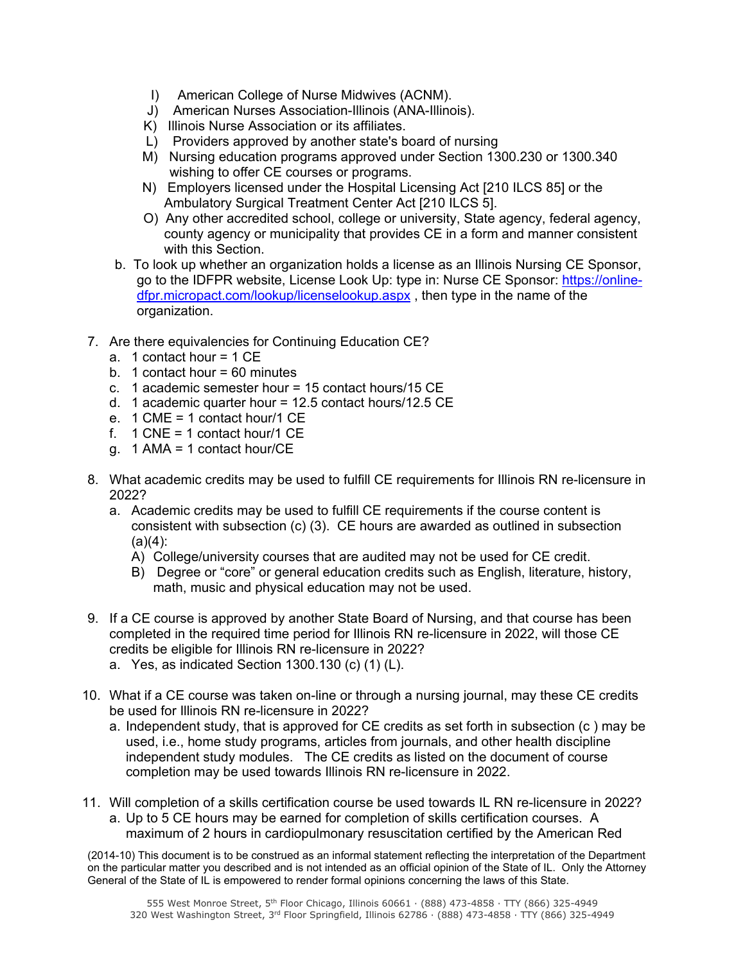- I) American College of Nurse Midwives (ACNM).
- J) American Nurses Association-Illinois (ANA-Illinois).
- K) Illinois Nurse Association or its affiliates.
- L) Providers approved by another state's board of nursing
- M) Nursing education programs approved under Section 1300.230 or 1300.340 wishing to offer CE courses or programs.
- N) Employers licensed under the Hospital Licensing Act [210 ILCS 85] or the Ambulatory Surgical Treatment Center Act [210 ILCS 5].
- O) Any other accredited school, college or university, State agency, federal agency, county agency or municipality that provides CE in a form and manner consistent with this Section.
- b. To look up whether an organization holds a license as an Illinois Nursing CE Sponsor, go to the IDFPR website, License Look Up: type in: Nurse CE Sponsor: https://onlinedfpr.micropact.com/lookup/licenselookup.aspx , then type in the name of the organization.
- 7. Are there equivalencies for Continuing Education CE?
	- a. 1 contact hour = 1 CE
	- b. 1 contact hour =  $60$  minutes
	- c. 1 academic semester hour = 15 contact hours/15 CE
	- d. 1 academic quarter hour = 12.5 contact hours/12.5 CE
	- e. 1 CME = 1 contact hour/1 CE
	- f.  $1$  CNE = 1 contact hour/1 CE
	- g. 1 AMA = 1 contact hour/CE
- 8. What academic credits may be used to fulfill CE requirements for Illinois RN re-licensure in 2022?
	- a. Academic credits may be used to fulfill CE requirements if the course content is consistent with subsection (c) (3). CE hours are awarded as outlined in subsection  $(a)(4)$ :
		- A) College/university courses that are audited may not be used for CE credit.
		- B) Degree or "core" or general education credits such as English, literature, history, math, music and physical education may not be used.
- 9. If a CE course is approved by another State Board of Nursing, and that course has been completed in the required time period for Illinois RN re-licensure in 2022, will those CE credits be eligible for Illinois RN re-licensure in 2022?
	- a. Yes, as indicated Section 1300.130 (c) (1) (L).
- 10. What if a CE course was taken on-line or through a nursing journal, may these CE credits be used for Illinois RN re-licensure in 2022?
	- a. Independent study, that is approved for CE credits as set forth in subsection (c ) may be used, i.e., home study programs, articles from journals, and other health discipline independent study modules. The CE credits as listed on the document of course completion may be used towards Illinois RN re-licensure in 2022.
- 11. Will completion of a skills certification course be used towards IL RN re-licensure in 2022? a. Up to 5 CE hours may be earned for completion of skills certification courses. A maximum of 2 hours in cardiopulmonary resuscitation certified by the American Red